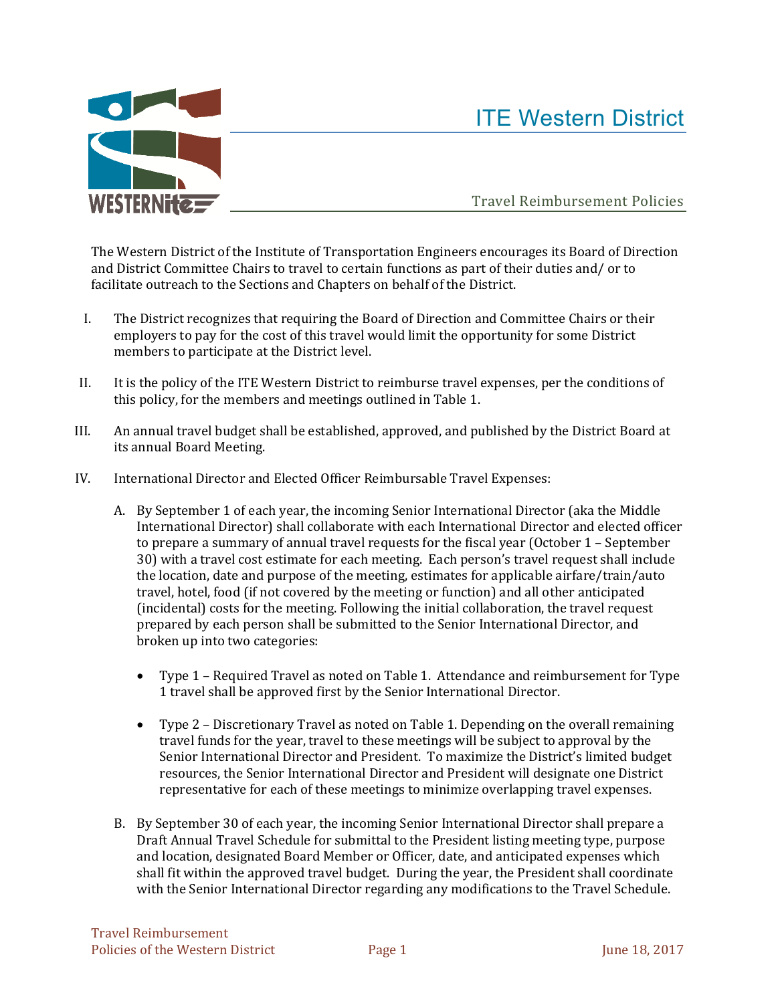

## ITE Western District

Travel Reimbursement Policies

The Western District of the Institute of Transportation Engineers encourages its Board of Direction and District Committee Chairs to travel to certain functions as part of their duties and/ or to facilitate outreach to the Sections and Chapters on behalf of the District.

- I. The District recognizes that requiring the Board of Direction and Committee Chairs or their employers to pay for the cost of this travel would limit the opportunity for some District members to participate at the District level.
- II. It is the policy of the ITE Western District to reimburse travel expenses, per the conditions of this policy, for the members and meetings outlined in Table 1.
- III. An annual travel budget shall be established, approved, and published by the District Board at its annual Board Meeting.
- IV. International Director and Elected Officer Reimbursable Travel Expenses:
	- A. By September 1 of each year, the incoming Senior International Director (aka the Middle International Director) shall collaborate with each International Director and elected officer to prepare a summary of annual travel requests for the fiscal year (October 1 - September 30) with a travel cost estimate for each meeting. Each person's travel request shall include the location, date and purpose of the meeting, estimates for applicable airfare/train/auto travel, hotel, food (if not covered by the meeting or function) and all other anticipated (incidental) costs for the meeting. Following the initial collaboration, the travel request prepared by each person shall be submitted to the Senior International Director, and broken up into two categories:
		- Type 1 Required Travel as noted on Table 1. Attendance and reimbursement for Type 1 travel shall be approved first by the Senior International Director.
		- Type 2 Discretionary Travel as noted on Table 1. Depending on the overall remaining travel funds for the year, travel to these meetings will be subject to approval by the Senior International Director and President. To maximize the District's limited budget resources, the Senior International Director and President will designate one District representative for each of these meetings to minimize overlapping travel expenses.
	- B. By September 30 of each year, the incoming Senior International Director shall prepare a Draft Annual Travel Schedule for submittal to the President listing meeting type, purpose and location, designated Board Member or Officer, date, and anticipated expenses which shall fit within the approved travel budget. During the year, the President shall coordinate with the Senior International Director regarding any modifications to the Travel Schedule.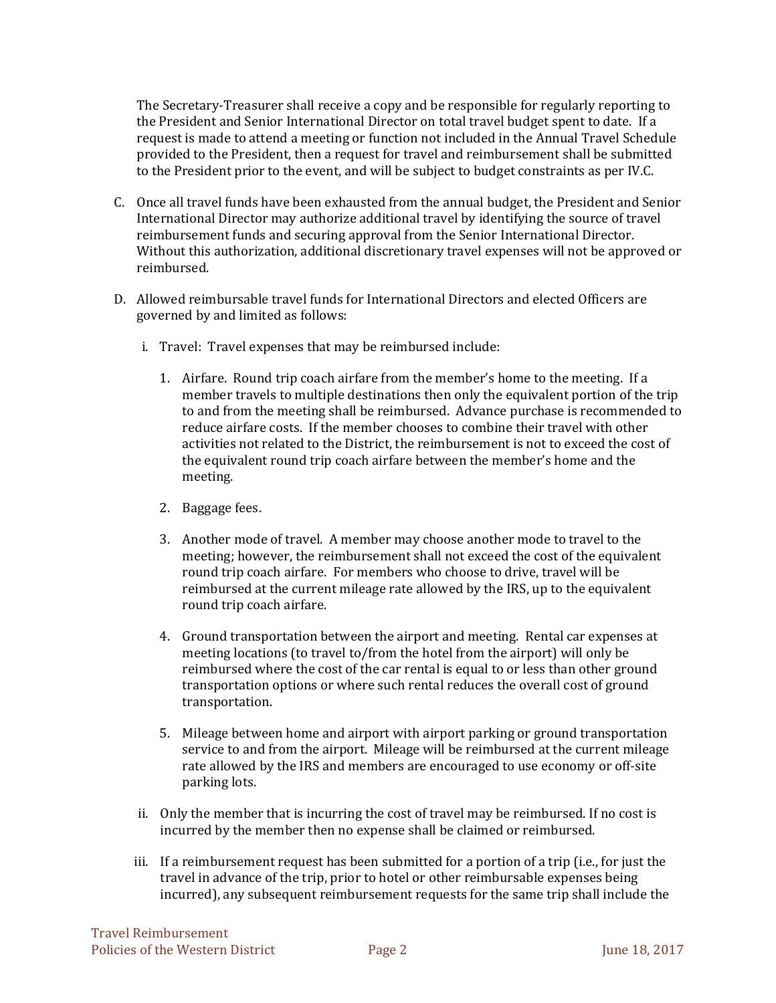The Secretary-Treasurer shall receive a copy and be responsible for regularly reporting to the President and Senior International Director on total travel budget spent to date. If a request is made to attend a meeting or function not included in the Annual Travel Schedule provided to the President, then a request for travel and reimbursement shall be submitted to the President prior to the event, and will be subject to budget constraints as per IV.C.

- C. Once all travel funds have been exhausted from the annual budget, the President and Senior International Director may authorize additional travel by identifying the source of travel reimbursement funds and securing approval from the Senior International Director. Without this authorization, additional discretionary travel expenses will not be approved or reimbursed.
- D. Allowed reimbursable travel funds for International Directors and elected Officers are governed by and limited as follows:
	- i. Travel: Travel expenses that may be reimbursed include:
		- 1. Airfare. Round trip coach airfare from the member's home to the meeting. If a member travels to multiple destinations then only the equivalent portion of the trip to and from the meeting shall be reimbursed. Advance purchase is recommended to reduce airfare costs. If the member chooses to combine their travel with other activities not related to the District, the reimbursement is not to exceed the cost of the equivalent round trip coach airfare between the member's home and the meeting.
		- 2. Baggage fees.
		- 3. Another mode of travel. A member may choose another mode to travel to the meeting; however, the reimbursement shall not exceed the cost of the equivalent round trip coach airfare. For members who choose to drive, travel will be reimbursed at the current mileage rate allowed by the IRS, up to the equivalent round trip coach airfare.
		- 4. Ground transportation between the airport and meeting. Rental car expenses at meeting locations (to travel to/from the hotel from the airport) will only be reimbursed where the cost of the car rental is equal to or less than other ground transportation options or where such rental reduces the overall cost of ground transportation.
		- 5. Mileage between home and airport with airport parking or ground transportation service to and from the airport. Mileage will be reimbursed at the current mileage rate allowed by the IRS and members are encouraged to use economy or off-site parking lots.
	- ii. Only the member that is incurring the cost of travel may be reimbursed. If no cost is incurred by the member then no expense shall be claimed or reimbursed.
	- iii. If a reimbursement request has been submitted for a portion of a trip (i.e., for just the travel in advance of the trip, prior to hotel or other reimbursable expenses being incurred), any subsequent reimbursement requests for the same trip shall include the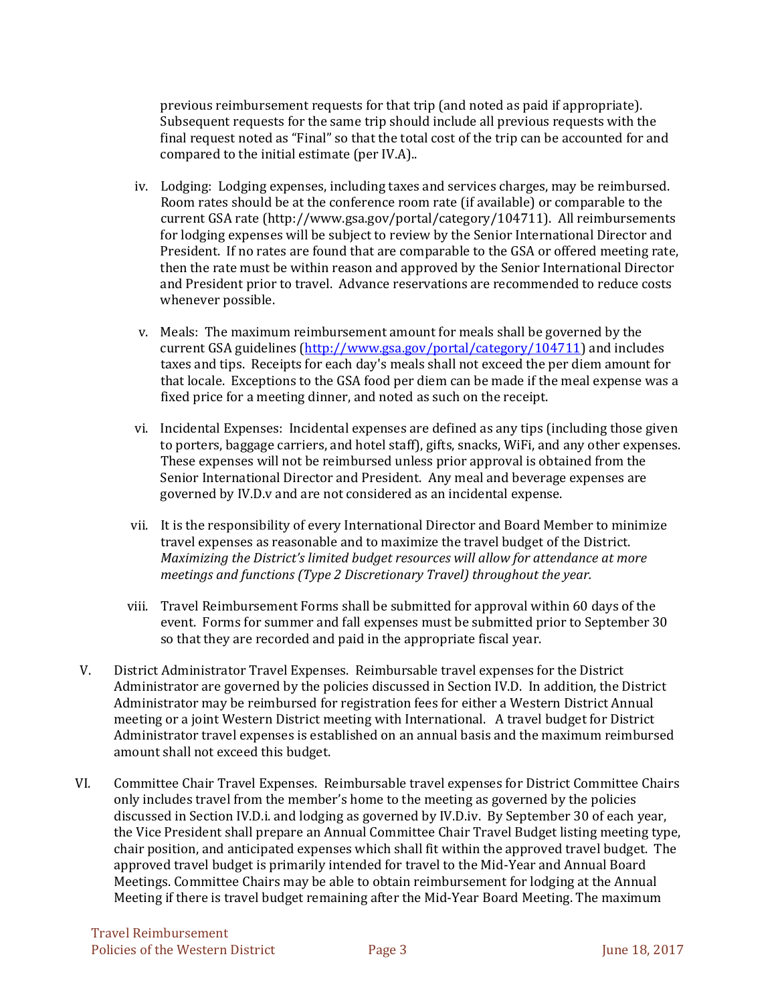previous reimbursement requests for that trip (and noted as paid if appropriate). Subsequent requests for the same trip should include all previous requests with the final request noted as "Final" so that the total cost of the trip can be accounted for and compared to the initial estimate (per IV.A)..

- iv. Lodging: Lodging expenses, including taxes and services charges, may be reimbursed. Room rates should be at the conference room rate (if available) or comparable to the current GSA rate (http://www.gsa.gov/portal/category/104711). All reimbursements for lodging expenses will be subject to review by the Senior International Director and President. If no rates are found that are comparable to the GSA or offered meeting rate, then the rate must be within reason and approved by the Senior International Director and President prior to travel. Advance reservations are recommended to reduce costs whenever possible.
- v. Meals: The maximum reimbursement amount for meals shall be governed by the current GSA guidelines (http://www.gsa.gov/portal/category/104711) and includes taxes and tips. Receipts for each day's meals shall not exceed the per diem amount for that locale. Exceptions to the GSA food per diem can be made if the meal expense was a fixed price for a meeting dinner, and noted as such on the receipt.
- vi. Incidental Expenses: Incidental expenses are defined as any tips (including those given to porters, baggage carriers, and hotel staff), gifts, snacks, WiFi, and any other expenses. These expenses will not be reimbursed unless prior approval is obtained from the Senior International Director and President. Any meal and beverage expenses are governed by IV.D.v and are not considered as an incidental expense.
- vii. It is the responsibility of every International Director and Board Member to minimize travel expenses as reasonable and to maximize the travel budget of the District. *Maximizing the District's limited budget resources will allow for attendance at more meetings and functions (Type 2 Discretionary Travel) throughout the year.*
- viii. Travel Reimbursement Forms shall be submitted for approval within 60 days of the event. Forms for summer and fall expenses must be submitted prior to September 30 so that they are recorded and paid in the appropriate fiscal year.
- V. District Administrator Travel Expenses. Reimbursable travel expenses for the District Administrator are governed by the policies discussed in Section IV.D. In addition, the District Administrator may be reimbursed for registration fees for either a Western District Annual meeting or a joint Western District meeting with International. A travel budget for District Administrator travel expenses is established on an annual basis and the maximum reimbursed amount shall not exceed this budget.
- VI. Committee Chair Travel Expenses. Reimbursable travel expenses for District Committee Chairs only includes travel from the member's home to the meeting as governed by the policies discussed in Section IV.D.i. and lodging as governed by IV.D.iv. By September 30 of each year, the Vice President shall prepare an Annual Committee Chair Travel Budget listing meeting type, chair position, and anticipated expenses which shall fit within the approved travel budget. The approved travel budget is primarily intended for travel to the Mid-Year and Annual Board Meetings. Committee Chairs may be able to obtain reimbursement for lodging at the Annual Meeting if there is travel budget remaining after the Mid-Year Board Meeting. The maximum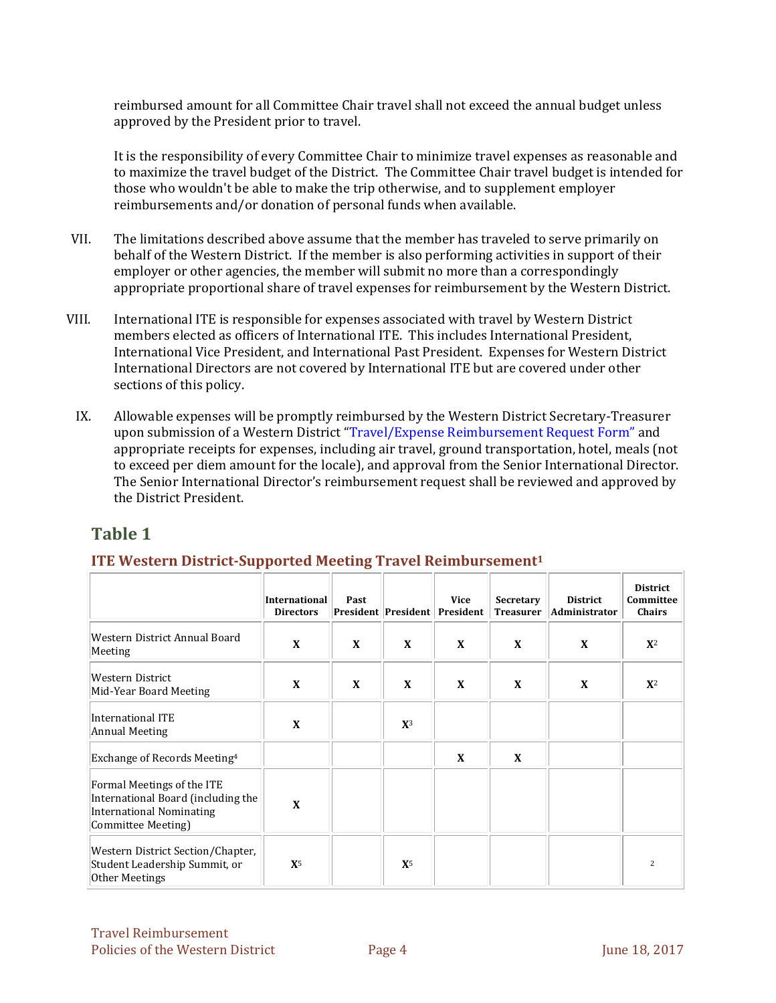reimbursed amount for all Committee Chair travel shall not exceed the annual budget unless approved by the President prior to travel.

It is the responsibility of every Committee Chair to minimize travel expenses as reasonable and to maximize the travel budget of the District. The Committee Chair travel budget is intended for those who wouldn't be able to make the trip otherwise, and to supplement employer reimbursements and/or donation of personal funds when available.

- VII. The limitations described above assume that the member has traveled to serve primarily on behalf of the Western District. If the member is also performing activities in support of their employer or other agencies, the member will submit no more than a correspondingly appropriate proportional share of travel expenses for reimbursement by the Western District.
- VIII. International ITE is responsible for expenses associated with travel by Western District members elected as officers of International ITE. This includes International President, International Vice President, and International Past President. Expenses for Western District International Directors are not covered by International ITE but are covered under other sections of this policy.
	- IX. Allowable expenses will be promptly reimbursed by the Western District Secretary-Treasurer upon submission of a Western District "Travel/Expense Reimbursement Request Form" and appropriate receipts for expenses, including air travel, ground transportation, hotel, meals (not to exceed per diem amount for the locale), and approval from the Senior International Director. The Senior International Director's reimbursement request shall be reviewed and approved by the District President.

## **Table 1**

## **ITE Western District‐Supported Meeting Travel Reimbursement1**

|                                                                                                                           | <b>International</b><br><b>Directors</b> | Past |             | <b>Vice</b><br>President President President | Secretary<br><b>Treasurer</b> | <b>District</b><br>Administrator | <b>District</b><br>Committee<br>Chairs |
|---------------------------------------------------------------------------------------------------------------------------|------------------------------------------|------|-------------|----------------------------------------------|-------------------------------|----------------------------------|----------------------------------------|
| Western District Annual Board<br>Meeting                                                                                  | X                                        | X    | X           | X                                            | X                             | X                                | $X^2$                                  |
| Western District<br>Mid-Year Board Meeting                                                                                | X                                        | X    | X           | X                                            | X                             | X                                | ${\bf X}^2$                            |
| International ITE<br>Annual Meeting                                                                                       | X                                        |      | ${\bf X}^3$ |                                              |                               |                                  |                                        |
| Exchange of Records Meeting <sup>4</sup>                                                                                  |                                          |      |             | X                                            | X                             |                                  |                                        |
| Formal Meetings of the ITE<br>International Board (including the<br><b>International Nominating</b><br>Committee Meeting) | X                                        |      |             |                                              |                               |                                  |                                        |
| Western District Section/Chapter,<br>Student Leadership Summit, or<br>Other Meetings                                      | ${\bf X}^5$                              |      | ${\bf X}^5$ |                                              |                               |                                  | 2                                      |